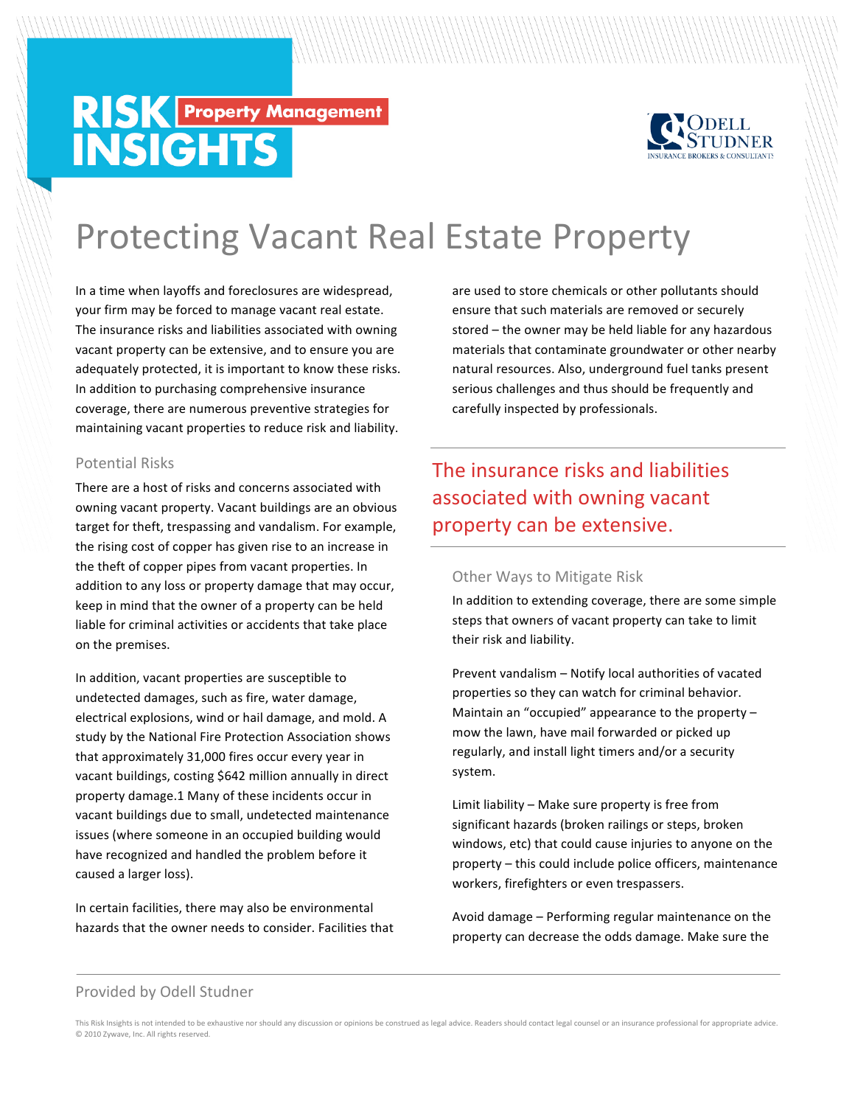# **RISK Property Management**<br>INSIGHTS



## **Protecting Vacant Real Estate Property**

In a time when layoffs and foreclosures are widespread, your firm may be forced to manage vacant real estate. The insurance risks and liabilities associated with owning vacant property can be extensive, and to ensure you are adequately protected, it is important to know these risks. In addition to purchasing comprehensive insurance coverage, there are numerous preventive strategies for maintaining vacant properties to reduce risk and liability.

#### **Potential Risks**

There are a host of risks and concerns associated with owning vacant property. Vacant buildings are an obvious target for theft, trespassing and vandalism. For example, the rising cost of copper has given rise to an increase in the theft of copper pipes from vacant properties. In addition to any loss or property damage that may occur, keep in mind that the owner of a property can be held liable for criminal activities or accidents that take place on the premises.

In addition, vacant properties are susceptible to undetected damages, such as fire, water damage, electrical explosions, wind or hail damage, and mold. A study by the National Fire Protection Association shows that approximately 31,000 fires occur every year in vacant buildings, costing \$642 million annually in direct property damage.1 Many of these incidents occur in vacant buildings due to small, undetected maintenance issues (where someone in an occupied building would have recognized and handled the problem before it caused a larger loss).

In certain facilities, there may also be environmental hazards that the owner needs to consider. Facilities that are used to store chemicals or other pollutants should ensure that such materials are removed or securely stored – the owner may be held liable for any hazardous materials that contaminate groundwater or other nearby natural resources. Also, underground fuel tanks present serious challenges and thus should be frequently and carefully inspected by professionals.

The insurance risks and liabilities associated with owning vacant property can be extensive.

#### **Other Ways to Mitigate Risk**

In addition to extending coverage, there are some simple steps that owners of vacant property can take to limit their risk and liability.

Prevent vandalism - Notify local authorities of vacated properties so they can watch for criminal behavior. Maintain an "occupied" appearance to the property  $$ mow the lawn, have mail forwarded or picked up regularly, and install light timers and/or a security system. 

Limit liability  $-$  Make sure property is free from significant hazards (broken railings or steps, broken windows, etc) that could cause injuries to anyone on the property – this could include police officers, maintenance workers, firefighters or even trespassers.

Avoid damage – Performing regular maintenance on the property can decrease the odds damage. Make sure the

#### Provided by Odell Studner

This Risk Insights is not intended to be exhaustive nor should any discussion or opinions be construed as legal advice. Readers should contact legal counsel or an insurance professional for appropriate advice. © 2010 Zywave, Inc. All rights reserved.